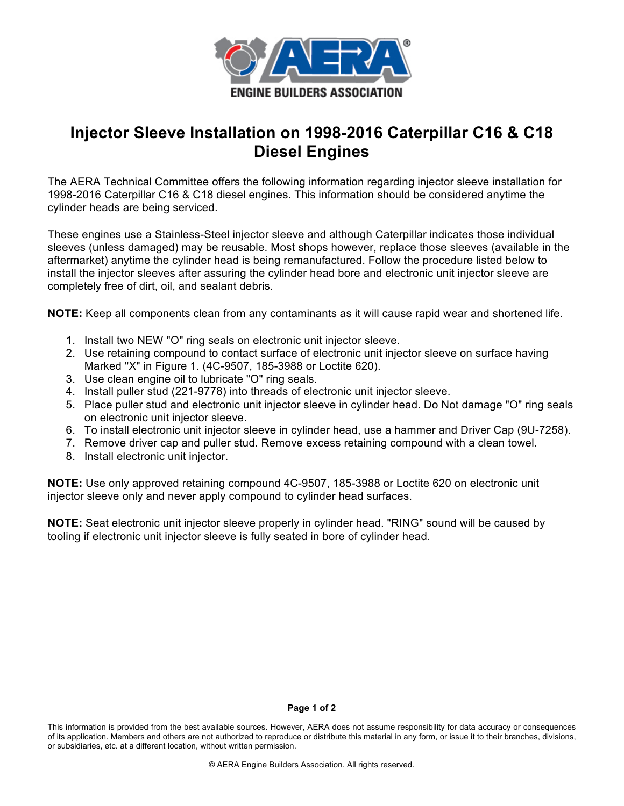

## **Injector Sleeve Installation on 1998-2016 Caterpillar C16 & C18 Diesel Engines**

The AERA Technical Committee offers the following information regarding injector sleeve installation for 1998-2016 Caterpillar C16 & C18 diesel engines. This information should be considered anytime the cylinder heads are being serviced.

These engines use a Stainless-Steel injector sleeve and although Caterpillar indicates those individual sleeves (unless damaged) may be reusable. Most shops however, replace those sleeves (available in the aftermarket) anytime the cylinder head is being remanufactured. Follow the procedure listed below to install the injector sleeves after assuring the cylinder head bore and electronic unit injector sleeve are completely free of dirt, oil, and sealant debris.

**NOTE:** Keep all components clean from any contaminants as it will cause rapid wear and shortened life.

- 1. Install two NEW "O" ring seals on electronic unit injector sleeve.
- 2. Use retaining compound to contact surface of electronic unit injector sleeve on surface having Marked "X" in Figure 1. (4C-9507, 185-3988 or Loctite 620).
- 3. Use clean engine oil to lubricate "O" ring seals.
- 4. Install puller stud (221-9778) into threads of electronic unit injector sleeve.
- 5. Place puller stud and electronic unit injector sleeve in cylinder head. Do Not damage "O" ring seals on electronic unit injector sleeve.
- 6. To install electronic unit injector sleeve in cylinder head, use a hammer and Driver Cap (9U-7258).
- 7. Remove driver cap and puller stud. Remove excess retaining compound with a clean towel.
- 8. Install electronic unit injector.

**NOTE:** Use only approved retaining compound 4C-9507, 185-3988 or Loctite 620 on electronic unit injector sleeve only and never apply compound to cylinder head surfaces.

**NOTE:** Seat electronic unit injector sleeve properly in cylinder head. "RING" sound will be caused by tooling if electronic unit injector sleeve is fully seated in bore of cylinder head.

## **Page 1 of 2**

This information is provided from the best available sources. However, AERA does not assume responsibility for data accuracy or consequences of its application. Members and others are not authorized to reproduce or distribute this material in any form, or issue it to their branches, divisions, or subsidiaries, etc. at a different location, without written permission.